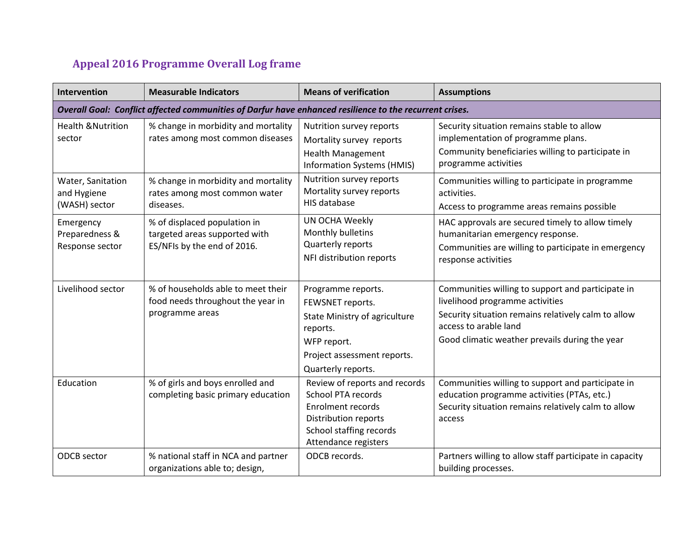## **Appeal 2016 Programme Overall Log frame**

| Intervention                                                                                            | <b>Measurable Indicators</b>                                                                 | <b>Means of verification</b>                                                                                                                                      | <b>Assumptions</b>                                                                                                                                                                                                     |  |
|---------------------------------------------------------------------------------------------------------|----------------------------------------------------------------------------------------------|-------------------------------------------------------------------------------------------------------------------------------------------------------------------|------------------------------------------------------------------------------------------------------------------------------------------------------------------------------------------------------------------------|--|
| Overall Goal: Conflict affected communities of Darfur have enhanced resilience to the recurrent crises. |                                                                                              |                                                                                                                                                                   |                                                                                                                                                                                                                        |  |
| <b>Health &amp; Nutrition</b><br>sector                                                                 | % change in morbidity and mortality<br>rates among most common diseases                      | Nutrition survey reports<br>Mortality survey reports<br><b>Health Management</b><br><b>Information Systems (HMIS)</b>                                             | Security situation remains stable to allow<br>implementation of programme plans.<br>Community beneficiaries willing to participate in<br>programme activities                                                          |  |
| Water, Sanitation<br>and Hygiene<br>(WASH) sector                                                       | % change in morbidity and mortality<br>rates among most common water<br>diseases.            | Nutrition survey reports<br>Mortality survey reports<br>HIS database                                                                                              | Communities willing to participate in programme<br>activities.<br>Access to programme areas remains possible                                                                                                           |  |
| Emergency<br>Preparedness &<br>Response sector                                                          | % of displaced population in<br>targeted areas supported with<br>ES/NFIs by the end of 2016. | <b>UN OCHA Weekly</b><br>Monthly bulletins<br>Quarterly reports<br>NFI distribution reports                                                                       | HAC approvals are secured timely to allow timely<br>humanitarian emergency response.<br>Communities are willing to participate in emergency<br>response activities                                                     |  |
| Livelihood sector                                                                                       | % of households able to meet their<br>food needs throughout the year in<br>programme areas   | Programme reports.<br>FEWSNET reports.<br>State Ministry of agriculture<br>reports.<br>WFP report.<br>Project assessment reports.<br>Quarterly reports.           | Communities willing to support and participate in<br>livelihood programme activities<br>Security situation remains relatively calm to allow<br>access to arable land<br>Good climatic weather prevails during the year |  |
| Education                                                                                               | % of girls and boys enrolled and<br>completing basic primary education                       | Review of reports and records<br><b>School PTA records</b><br><b>Enrolment records</b><br>Distribution reports<br>School staffing records<br>Attendance registers | Communities willing to support and participate in<br>education programme activities (PTAs, etc.)<br>Security situation remains relatively calm to allow<br>access                                                      |  |
| <b>ODCB</b> sector                                                                                      | % national staff in NCA and partner<br>organizations able to; design,                        | ODCB records.                                                                                                                                                     | Partners willing to allow staff participate in capacity<br>building processes.                                                                                                                                         |  |